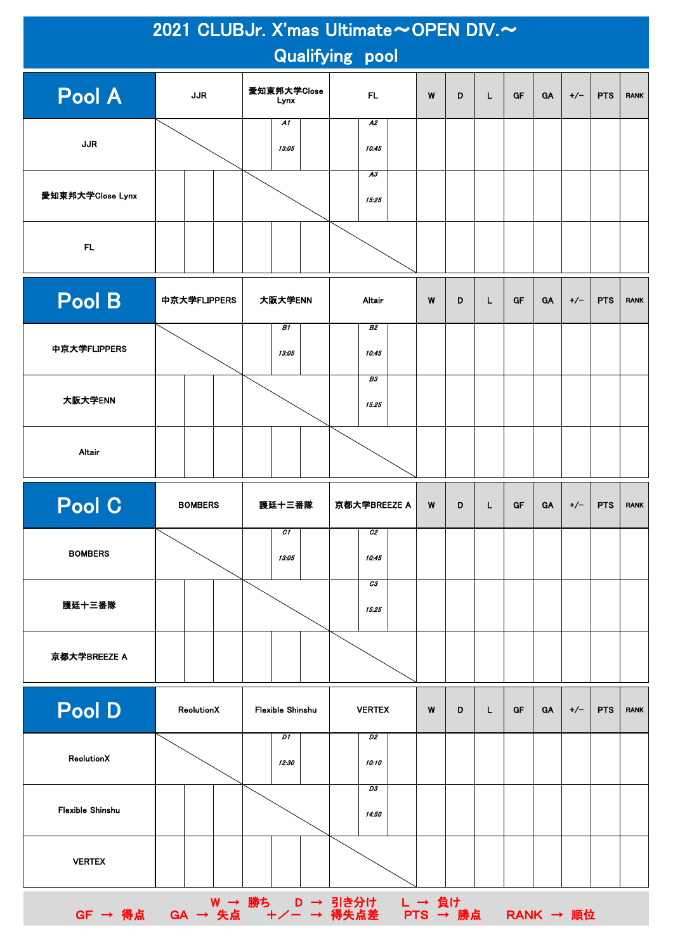| 2021 CLUBJr. X'mas Ultimate~OPEN DIV.~<br><b>Qualifying pool</b> |                |                     |                                 |   |   |   |    |           |       |            |             |
|------------------------------------------------------------------|----------------|---------------------|---------------------------------|---|---|---|----|-----------|-------|------------|-------------|
| Pool A                                                           | <b>JJR</b>     | 愛知東邦大学Close<br>Lynx | FL                              | W | D | L | GF | <b>GA</b> | $+/-$ | <b>PTS</b> | <b>RANK</b> |
| <b>JJR</b>                                                       |                | A1<br>13:05         | A2<br>10:45                     |   |   |   |    |           |       |            |             |
| 愛知東邦大学Close Lynx                                                 |                |                     | A3<br>15:25                     |   |   |   |    |           |       |            |             |
| <b>FL</b>                                                        |                |                     |                                 |   |   |   |    |           |       |            |             |
| Pool B                                                           | 中京大学FLIPPERS   | 大阪大学ENN             | Altair                          | W | D | L | GF | <b>GA</b> | $+/-$ | <b>PTS</b> | <b>RANK</b> |
| 中京大学FLIPPERS                                                     |                | 81<br>13:05         | <b>B2</b><br>10:45<br><b>B3</b> |   |   |   |    |           |       |            |             |
| 大阪大学ENN                                                          |                |                     | 15:25                           |   |   |   |    |           |       |            |             |
| Altair                                                           |                |                     |                                 |   |   |   |    |           |       |            |             |
| Pool C                                                           | <b>BOMBERS</b> | 護廷十三番隊              | 京都大学BREEZE A                    | W | D | L | GF | <b>GA</b> | $+/-$ | <b>PTS</b> | <b>RANK</b> |
|                                                                  |                |                     |                                 |   |   |   |    |           |       |            |             |
| <b>BOMBERS</b>                                                   |                | C1<br>13:05         | C2<br>10:45                     |   |   |   |    |           |       |            |             |
| 護廷十三番隊                                                           |                |                     | CЗ<br>15:25                     |   |   |   |    |           |       |            |             |
| 京都大学BREEZE A                                                     |                |                     |                                 |   |   |   |    |           |       |            |             |
| Pool D                                                           | ReolutionX     | Flexible Shinshu    | <b>VERTEX</b>                   | W | D | L | GF | <b>GA</b> | $+/-$ | <b>PTS</b> | <b>RANK</b> |
| ReolutionX                                                       |                | D1<br>12:30         | D2<br>10:10                     |   |   |   |    |           |       |            |             |
| <b>Flexible Shinshu</b>                                          |                |                     | D3<br>14:50                     |   |   |   |    |           |       |            |             |
| <b>VERTEX</b>                                                    |                |                     |                                 |   |   |   |    |           |       |            |             |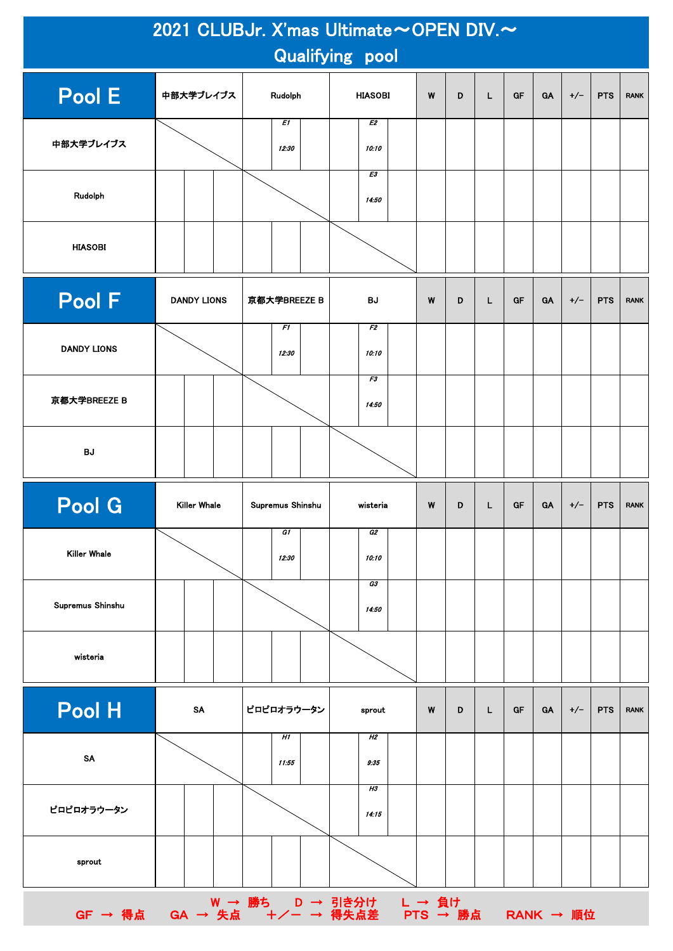| 2021 CLUBJr. X'mas Ultimate~OPEN DIV.~<br><b>Qualifying pool</b> |                     |                  |                |   |   |   |           |           |       |            |             |
|------------------------------------------------------------------|---------------------|------------------|----------------|---|---|---|-----------|-----------|-------|------------|-------------|
| Pool E                                                           | 中部大学ブレイブス           | Rudolph          | <b>HIASOBI</b> | W | D | L | GF        | GA        | $+/-$ | <b>PTS</b> | <b>RANK</b> |
| 中部大学ブレイブス                                                        |                     | E1<br>12:30      | E2<br>10:10    |   |   |   |           |           |       |            |             |
| Rudolph                                                          |                     |                  | EЗ<br>14:50    |   |   |   |           |           |       |            |             |
| <b>HIASOBI</b>                                                   |                     |                  |                |   |   |   |           |           |       |            |             |
| Pool F                                                           | <b>DANDY LIONS</b>  | 京都大学BREEZE B     | <b>BJ</b>      | W | D | L | <b>GF</b> | <b>GA</b> | $+/-$ | <b>PTS</b> | <b>RANK</b> |
| <b>DANDY LIONS</b>                                               |                     | F1<br>12:30      | F2<br>10:10    |   |   |   |           |           |       |            |             |
| 京都大学BREEZE B                                                     |                     |                  | F3<br>14:50    |   |   |   |           |           |       |            |             |
| <b>BJ</b>                                                        |                     |                  |                |   |   |   |           |           |       |            |             |
|                                                                  |                     |                  |                |   |   |   |           |           |       |            |             |
| Pool G                                                           | <b>Killer Whale</b> | Supremus Shinshu | wisteria       | W | D | L | GF        | <b>GA</b> | $+/-$ | <b>PTS</b> | <b>RANK</b> |
| <b>Killer Whale</b>                                              |                     | G1<br>12:30      | G2<br>10:10    |   |   |   |           |           |       |            |             |
| Supremus Shinshu                                                 |                     |                  | GЗ<br>14:50    |   |   |   |           |           |       |            |             |
| wisteria                                                         |                     |                  |                |   |   |   |           |           |       |            |             |
| Pool H                                                           | SA                  | ピロピロオラウータン       | sprout         | W | D | L | <b>GF</b> | <b>GA</b> | $+/-$ | <b>PTS</b> | <b>RANK</b> |
| SA                                                               |                     | H<br>11:55       | H2<br>9:35     |   |   |   |           |           |       |            |             |
| ピロピロオラウータン                                                       |                     |                  | H3<br>14:15    |   |   |   |           |           |       |            |             |
| sprout                                                           |                     |                  |                |   |   |   |           |           |       |            |             |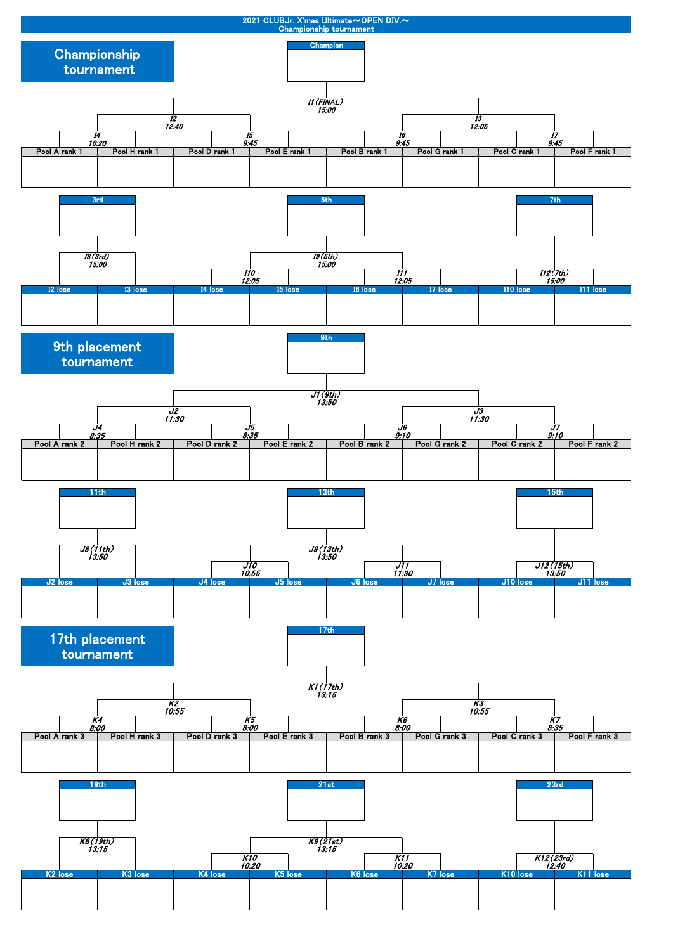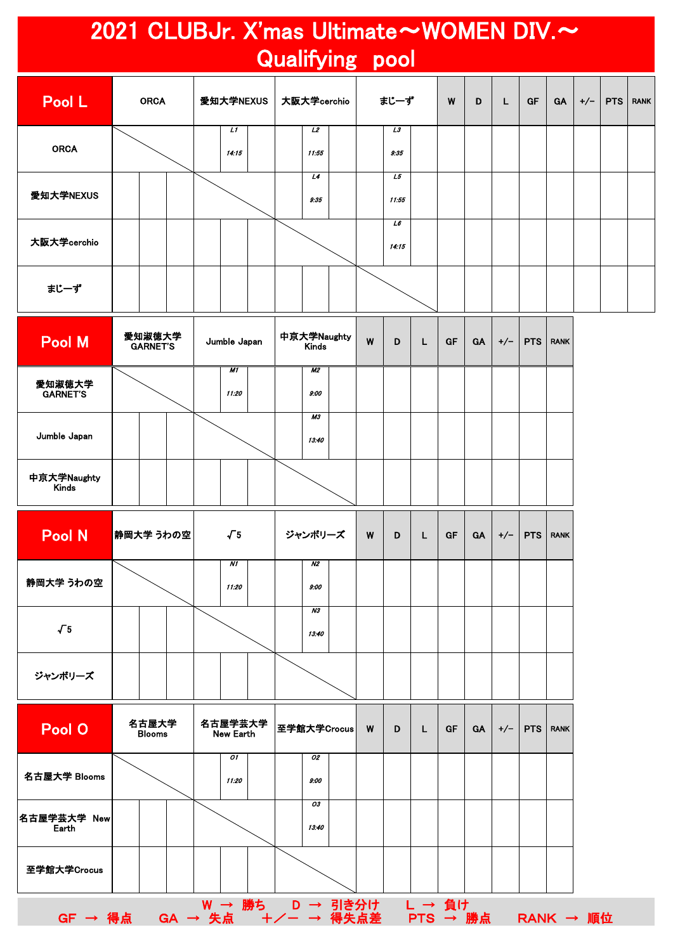## 2021 CLUBJr. X'mas Ultimate~WOMEN DIV.~ Qualifying pool

| <b>Pool L</b> | <b>ORCA</b> | 愛知大学NEXUS               | 大阪大学cerchio               | まじーず                    | W | D | L | GF | <b>GA</b> | $+/-$ | PTS   RANK |
|---------------|-------------|-------------------------|---------------------------|-------------------------|---|---|---|----|-----------|-------|------------|
| <b>ORCA</b>   |             | $\overline{H}$<br>14:15 | $\overline{L^2}$<br>11:55 | $\overline{L3}$<br>9:35 |   |   |   |    |           |       |            |
| 愛知大学NEXUS     |             |                         | L4<br>9:35                | L5<br>11:55             |   |   |   |    |           |       |            |
| 大阪大学cerchio   |             |                         |                           | L6<br>14.15             |   |   |   |    |           |       |            |
| まじーず          |             |                         |                           |                         |   |   |   |    |           |       |            |

| Pool M                      | 愛知淑徳大学<br><b>GARNET'S</b> | Jumble Japan | 中京大学Naughty<br>Kinds   | W | D | L | <b>GF</b> | <b>GA</b> | $+/-$ | <b>PTS</b> | <b>RANK</b> |
|-----------------------------|---------------------------|--------------|------------------------|---|---|---|-----------|-----------|-------|------------|-------------|
| 愛知淑徳大学<br><b>GARNET'S</b>   |                           | M1<br>11:20  | M <sub>2</sub><br>9:00 |   |   |   |           |           |       |            |             |
| Jumble Japan                |                           |              | M3<br>13:40            |   |   |   |           |           |       |            |             |
| 中京大学Naughty<br><b>Kinds</b> |                           |              |                        |   |   |   |           |           |       |            |             |

| Pool N     | 静岡大学 うわの空 | $\sqrt{5}$  | ジャンボリーズ     | W | D | L | <b>GF</b> | <b>GA</b> | $+/-$ | PTS | <b>RANK</b> |
|------------|-----------|-------------|-------------|---|---|---|-----------|-----------|-------|-----|-------------|
| 静岡大学 うわの空  |           | N1<br>11:20 | N2<br>9:00  |   |   |   |           |           |       |     |             |
| $\sqrt{5}$ |           |             | N3<br>13:40 |   |   |   |           |           |       |     |             |
| ジャンボリーズ    |           |             |             |   |   |   |           |           |       |     |             |
|            |           |             |             |   |   |   |           |           |       |     |             |

| Pool O                          | 名古屋大学<br>Blooms | 名古屋学芸大学<br>New Earth | 至学館大学Crocus                   | W | D | L | <b>GF</b>          | <b>GA</b> | $+/-$ | <b>PTS</b> | <b>RANK</b> |
|---------------------------------|-----------------|----------------------|-------------------------------|---|---|---|--------------------|-----------|-------|------------|-------------|
| 名古屋大学 Blooms                    |                 | 01<br>11:20          | 02<br>9:00                    |   |   |   |                    |           |       |            |             |
| 名古屋学芸大学 New∥<br>Earth           |                 |                      | 03<br>13:40                   |   |   |   |                    |           |       |            |             |
| 至学館大学Crocus                     |                 |                      |                               |   |   |   |                    |           |       |            |             |
| $GF \rightarrow \frac{4}{10}$ 点 |                 | GA → 失点              | W → 勝ち D → 引き分け<br>+/ー → 得失点差 |   |   |   | L → 負け<br>PTS → 勝点 |           |       |            | RANK → 順位   |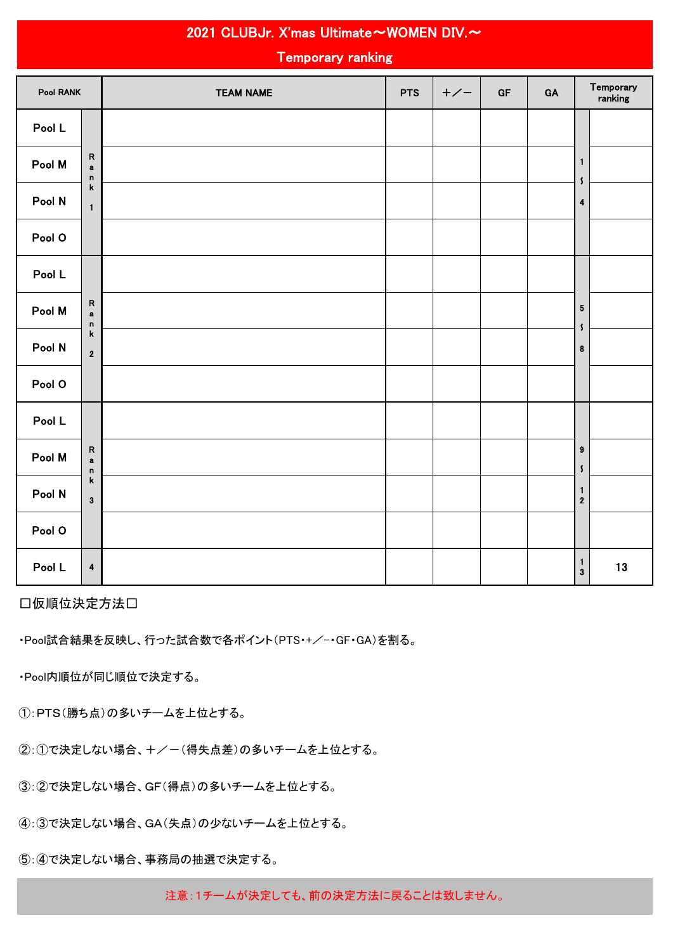| 2021 CLUBJr. X'mas Ultimate~WOMEN DIV.~<br><b>Temporary ranking</b> |                                                                                          |  |  |  |  |  |                          |    |  |  |  |  |
|---------------------------------------------------------------------|------------------------------------------------------------------------------------------|--|--|--|--|--|--------------------------|----|--|--|--|--|
|                                                                     | Temporary<br>$+/-$<br>Pool RANK<br><b>PTS</b><br>GF<br>GA<br><b>TEAM NAME</b><br>ranking |  |  |  |  |  |                          |    |  |  |  |  |
| Pool L                                                              |                                                                                          |  |  |  |  |  |                          |    |  |  |  |  |
| Pool M                                                              | R<br>$\mathbf a$<br>n                                                                    |  |  |  |  |  | 1<br>s                   |    |  |  |  |  |
| Pool N                                                              | k<br>$\mathbf{1}$                                                                        |  |  |  |  |  | 4                        |    |  |  |  |  |
| Pool O                                                              |                                                                                          |  |  |  |  |  |                          |    |  |  |  |  |
| Pool L                                                              |                                                                                          |  |  |  |  |  |                          |    |  |  |  |  |
| Pool M                                                              | ${\sf R}$<br>$\bf a$<br>n                                                                |  |  |  |  |  | 5<br>S                   |    |  |  |  |  |
| Pool N                                                              | $\mathbf k$<br>$\mathbf{2}$                                                              |  |  |  |  |  | $\pmb{8}$                |    |  |  |  |  |
| Pool O                                                              |                                                                                          |  |  |  |  |  |                          |    |  |  |  |  |
| Pool L                                                              |                                                                                          |  |  |  |  |  |                          |    |  |  |  |  |
| Pool M                                                              | R<br>$\mathbf a$<br>n                                                                    |  |  |  |  |  | 9<br>$\pmb{\zeta}$       |    |  |  |  |  |
| Pool N                                                              | $\sf k$<br>$\bf{3}$                                                                      |  |  |  |  |  | 1<br>$\boldsymbol{2}$    |    |  |  |  |  |
| Pool O                                                              |                                                                                          |  |  |  |  |  |                          |    |  |  |  |  |
| Pool L                                                              | $\overline{\mathbf{4}}$                                                                  |  |  |  |  |  | $\mathbf{I}$<br>$\bf{3}$ | 13 |  |  |  |  |

□仮順位決定方法□

・Pool試合結果を反映し、行った試合数で各ポイント(PTS・+/-・GF・GA)を割る。

・Pool内順位が同じ順位で決定する。

①:PTS(勝ち点)の多いチームを上位とする。

②:①で決定しない場合、+/-(得失点差)の多いチームを上位とする。

③:②で決定しない場合、GF(得点)の多いチームを上位とする。

④:③で決定しない場合、GA(失点)の少ないチームを上位とする。

⑤:④で決定しない場合、事務局の抽選で決定する。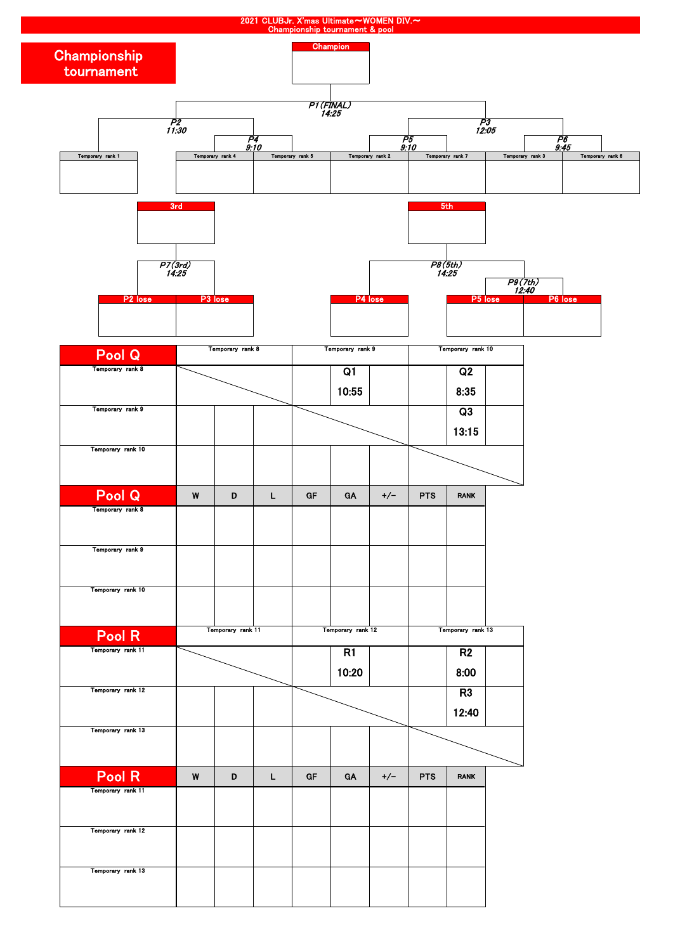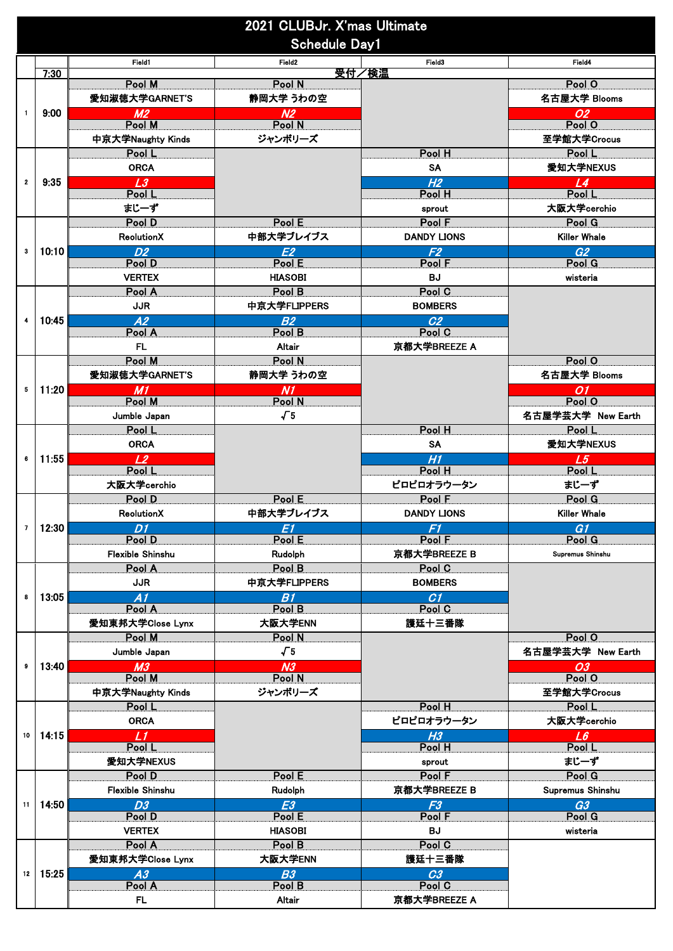|                      |       |                     | 2021 CLUBJr. X'mas Ultimate |                          |                     |
|----------------------|-------|---------------------|-----------------------------|--------------------------|---------------------|
|                      |       |                     | <b>Schedule Day1</b>        |                          |                     |
|                      |       | Field1              | Field <sub>2</sub>          | Field3                   | Field4              |
|                      | 7:30  | Pool M              | Pool N                      | 受付/検温                    | Pool O              |
|                      |       | 愛知淑徳大学GARNET'S      | 静岡大学 うわの空                   |                          | 名古屋大学 Blooms        |
| $\mathbf{1}$         | 9:00  | M <sub>2</sub>      | N <sub>2</sub>              |                          | 02                  |
|                      |       | Pool M              | Pool N                      |                          | Pool O              |
|                      |       | 中京大学Naughty Kinds   | ジャンボリーズ                     |                          | 至学館大学Crocus         |
|                      |       | Pool L              |                             | Pool H                   | Pool I              |
|                      |       | <b>ORCA</b>         |                             | <b>SA</b>                | 愛知大学NEXUS           |
| $\mathbf{2}$         | 9:35  | L3<br>Pool L        |                             | H <sub>2</sub><br>Pool H | L4<br>Pool          |
|                      |       | まじーず                |                             | sprout                   | 大阪大学cerchio         |
|                      |       | Pool D              | Pool E                      | Pool F                   | Pool G              |
|                      |       | ReolutionX          | 中部大学ブレイブス                   | <b>DANDY LIONS</b>       | <b>Killer Whale</b> |
| 3                    | 10:10 | D2                  | E2                          | F <sub>2</sub>           | G2                  |
|                      |       | Pool D              | Pool E                      | Pool F                   | Pool G              |
|                      |       | <b>VERTEX</b>       | <b>HIASOBI</b>              | <b>BJ</b>                | wisteria            |
|                      |       | Pool A              | Pool B                      | Pool C                   |                     |
|                      |       | <b>JJR</b>          | 中京大学FLIPPERS                | <b>BOMBERS</b>           |                     |
| $\blacktriangleleft$ | 10:45 | A2<br>Pool A        | B <sub>2</sub><br>Pool B    | C <sub>2</sub><br>Pool C |                     |
|                      |       | FL.                 | Altair                      | 京都大学BREEZE A             |                     |
|                      |       | Pool M              | Pool N                      |                          | Pool O              |
|                      |       | 愛知淑徳大学GARNET'S      | 静岡大学 うわの空                   |                          | 名古屋大学 Blooms        |
| 5                    | 11:20 | M1                  | N1                          |                          | 01                  |
|                      |       | Pool M              | Pool N                      |                          | Pool O              |
|                      |       | Jumble Japan        | $\sqrt{5}$                  |                          | 名古屋学芸大学 New Earth   |
|                      |       | Pool L              |                             | Pool H                   | Pool L              |
|                      |       | <b>ORCA</b>         |                             | <b>SA</b>                | 愛知大学NEXUS           |
| 6                    | 11:55 | L2<br>Pool L        |                             | H1<br>Pool H             | L5<br>Pool I        |
|                      |       | 大阪大学cerchio         |                             | ピロピロオラウータン               | まじーず                |
|                      |       | Pool D              | Pool E                      | Pool F                   | Pool G              |
|                      |       | ReolutionX          | 中部大学ブレイブス                   | <b>DANDY LIONS</b>       | <b>Killer Whale</b> |
| 7                    | 12:30 | D1                  | E1                          | F1                       | G1                  |
|                      |       | Pool D              | Pool E                      | Pool F                   | Pool G              |
|                      |       | Flexible Shinshu    | Rudolph                     | 京都大学BREEZE B             | Supremus Shinshu    |
|                      |       | Pool A              | Pool B                      | Pool C                   |                     |
|                      |       | <b>JJR</b>          | 中京大学FLIPPERS                | <b>BOMBERS</b>           |                     |
| 8                    | 13:05 | A1<br>Pool A        | B1<br>Pool B                | CI<br>Pool C             |                     |
|                      |       | 愛知東邦大学Close Lynx    | 大阪大学ENN                     | 護廷十三番隊                   |                     |
|                      |       | Pool M              | Pool N                      |                          | Pool O              |
|                      |       | Jumble Japan        | $\sqrt{5}$                  |                          | 名古屋学芸大学 New Earth   |
| 9                    | 13:40 | M <sub>3</sub>      | N <sub>3</sub>              |                          | 03                  |
|                      |       | Pool M              | Pool N                      |                          | Pool O              |
|                      |       | 中京大学Naughty Kinds   | ジャンボリーズ                     |                          | 至学館大学Crocus         |
|                      |       | Pool L              |                             | Pool H                   | Pool L              |
|                      |       | <b>ORCA</b>         |                             | ピロピロオラウータン               | 大阪大学cerchio         |
| 10                   | 14:15 | L1<br>Pool L        |                             | H <sub>3</sub><br>Pool H | L6<br>Pool L        |
|                      |       | 愛知大学NEXUS           |                             | sprout                   | まじーず                |
|                      |       | Pool D              | Pool E                      | Pool F                   | Pool G              |
|                      |       | Flexible Shinshu    | Rudolph                     | 京都大学BREEZE B             | Supremus Shinshu    |
| 11                   | 14:50 | $\overline{D3}$     | E3                          | F3                       | G3                  |
|                      |       | Pool D              | Pool E                      | Pool F                   | Pool G              |
|                      |       | <b>VERTEX</b>       | <b>HIASOBI</b>              | <b>BJ</b>                | wisteria            |
|                      |       | Pool A              | Pool B                      | Pool C                   |                     |
|                      |       | 愛知東邦大学Close Lynx    | 大阪大学ENN                     | 護廷十三番隊                   |                     |
| 12 <sub>2</sub>      | 15:25 | A3<br><u>Pool A</u> | B3<br>Pool B                | C <sub>3</sub><br>Pool C |                     |
|                      |       | FL.                 | Altair                      | 京都大学BREEZE A             |                     |
|                      |       |                     |                             |                          |                     |